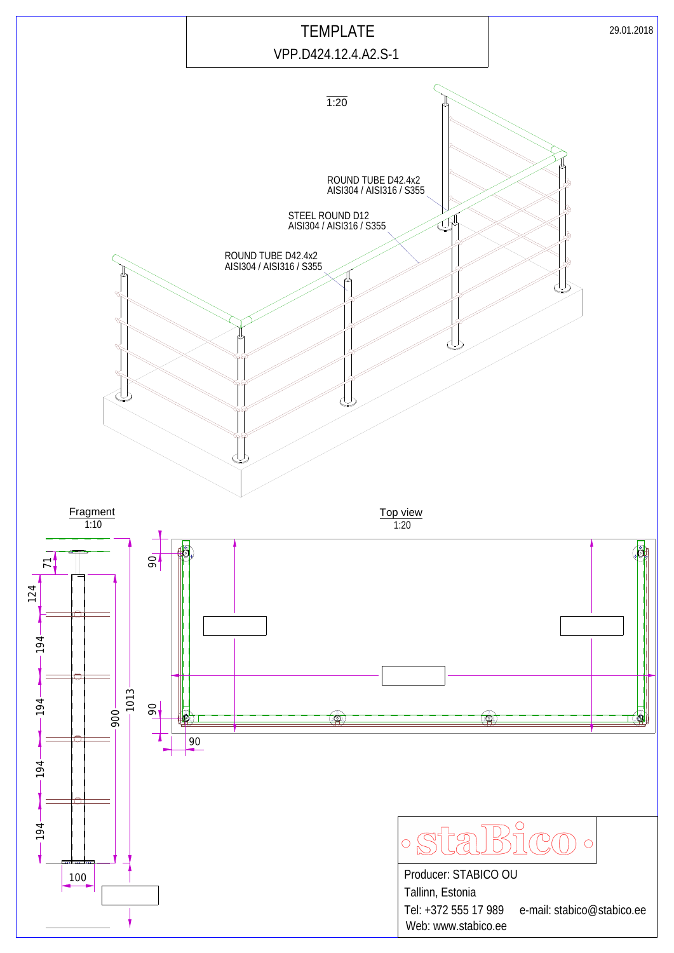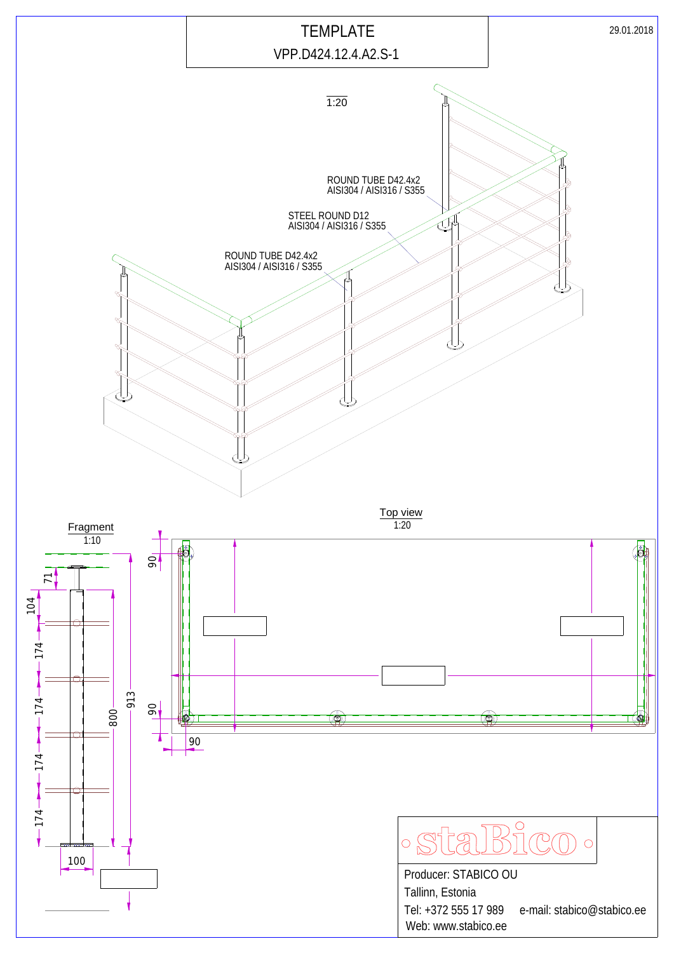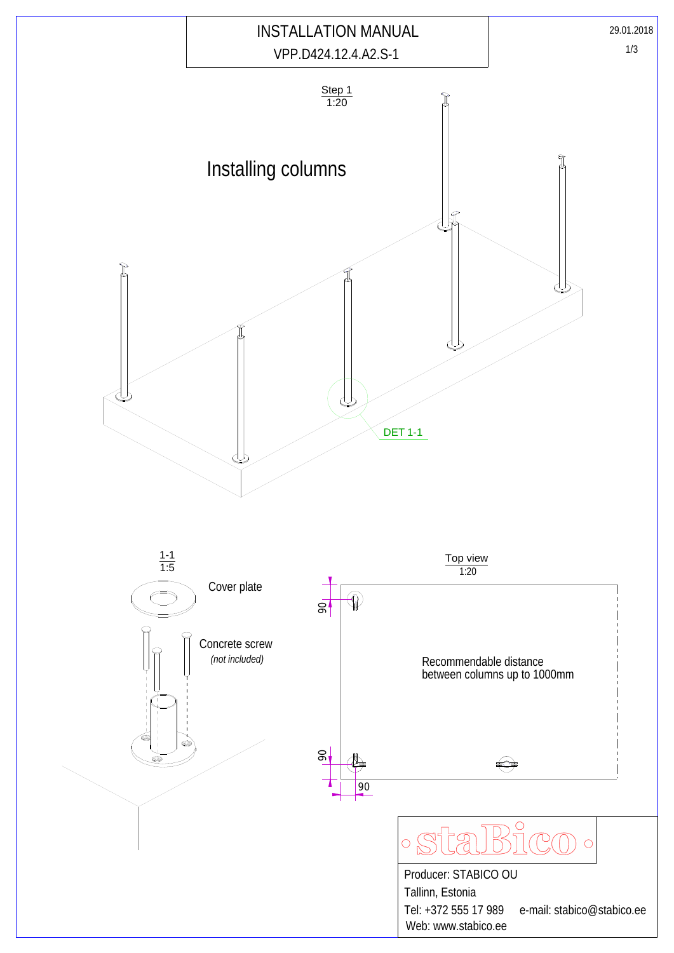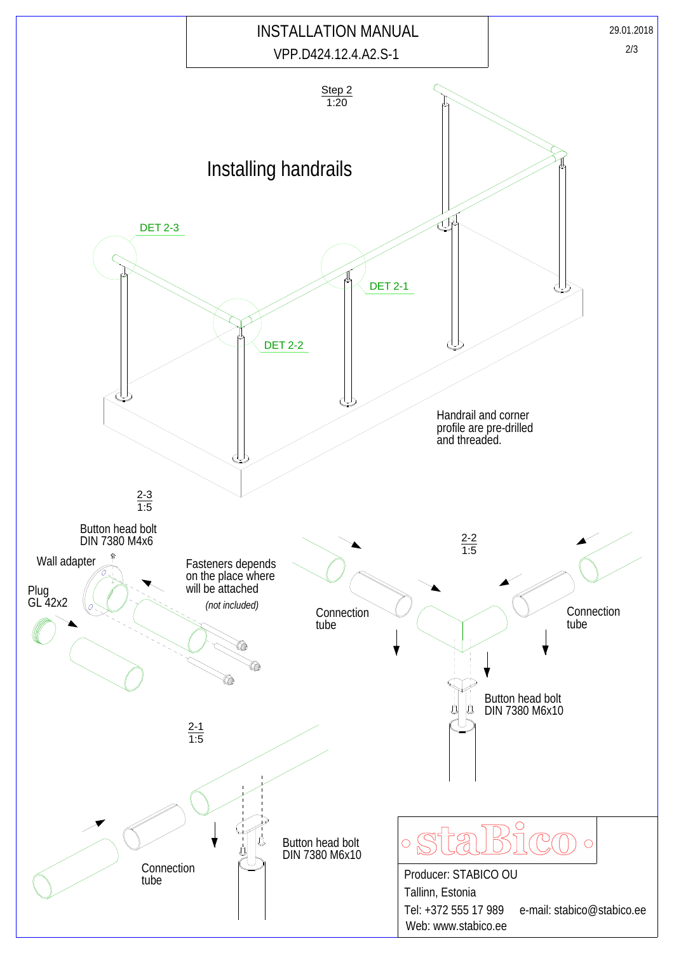